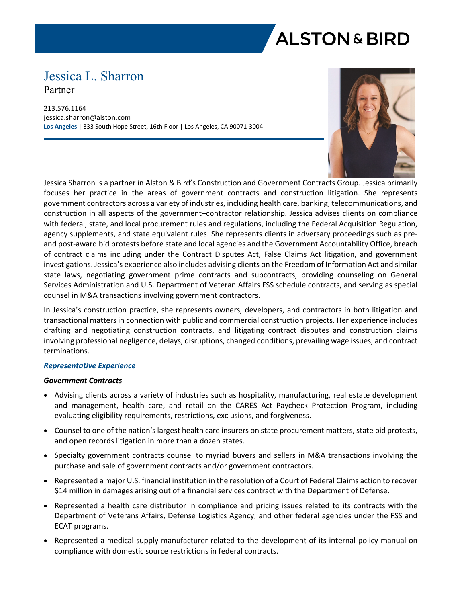# **ALSTON & BIRD**

# Jessica L. Sharron Partner

213.576.1164 jessica.sharron@alston.com **Los Angeles** | 333 South Hope Street, 16th Floor | Los Angeles, CA 90071-3004



Jessica Sharron is a partner in Alston & Bird's Construction and Government Contracts Group. Jessica primarily focuses her practice in the areas of government contracts and construction litigation. She represents government contractors across a variety of industries, including health care, banking, telecommunications, and construction in all aspects of the government–contractor relationship. Jessica advises clients on compliance with federal, state, and local procurement rules and regulations, including the Federal Acquisition Regulation, agency supplements, and state equivalent rules. She represents clients in adversary proceedings such as preand post-award bid protests before state and local agencies and the Government Accountability Office, breach of contract claims including under the Contract Disputes Act, False Claims Act litigation, and government investigations. Jessica's experience also includes advising clients on the Freedom of Information Act and similar state laws, negotiating government prime contracts and subcontracts, providing counseling on General Services Administration and U.S. Department of Veteran Affairs FSS schedule contracts, and serving as special counsel in M&A transactions involving government contractors.

In Jessica's construction practice, she represents owners, developers, and contractors in both litigation and transactional matters in connection with public and commercial construction projects. Her experience includes drafting and negotiating construction contracts, and litigating contract disputes and construction claims involving professional negligence, delays, disruptions, changed conditions, prevailing wage issues, and contract terminations.

# *Representative Experience*

# *Government Contracts*

- Advising clients across a variety of industries such as hospitality, manufacturing, real estate development and management, health care, and retail on the CARES Act Paycheck Protection Program, including evaluating eligibility requirements, restrictions, exclusions, and forgiveness.
- Counsel to one of the nation's largest health care insurers on state procurement matters, state bid protests, and open records litigation in more than a dozen states.
- Specialty government contracts counsel to myriad buyers and sellers in M&A transactions involving the purchase and sale of government contracts and/or government contractors.
- Represented a major U.S. financial institution in the resolution of a Court of Federal Claims action to recover \$14 million in damages arising out of a financial services contract with the Department of Defense.
- Represented a health care distributor in compliance and pricing issues related to its contracts with the Department of Veterans Affairs, Defense Logistics Agency, and other federal agencies under the FSS and ECAT programs.
- Represented a medical supply manufacturer related to the development of its internal policy manual on compliance with domestic source restrictions in federal contracts.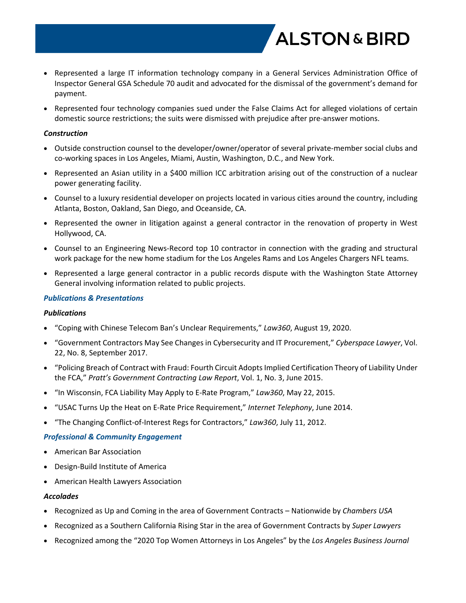

- Represented a large IT information technology company in a General Services Administration Office of Inspector General GSA Schedule 70 audit and advocated for the dismissal of the government's demand for payment.
- Represented four technology companies sued under the False Claims Act for alleged violations of certain domestic source restrictions; the suits were dismissed with prejudice after pre-answer motions.

#### *Construction*

- Outside construction counsel to the developer/owner/operator of several private-member social clubs and co-working spaces in Los Angeles, Miami, Austin, Washington, D.C., and New York.
- Represented an Asian utility in a \$400 million ICC arbitration arising out of the construction of a nuclear power generating facility.
- Counsel to a luxury residential developer on projects located in various cities around the country, including Atlanta, Boston, Oakland, San Diego, and Oceanside, CA.
- Represented the owner in litigation against a general contractor in the renovation of property in West Hollywood, CA.
- Counsel to an Engineering News-Record top 10 contractor in connection with the grading and structural work package for the new home stadium for the Los Angeles Rams and Los Angeles Chargers NFL teams.
- Represented a large general contractor in a public records dispute with the Washington State Attorney General involving information related to public projects.

### *Publications & Presentations*

#### *Publications*

- "Coping with Chinese Telecom Ban's Unclear Requirements," *Law360*, August 19, 2020.
- "Government Contractors May See Changes in Cybersecurity and IT Procurement," *Cyberspace Lawyer*, Vol. 22, No. 8, September 2017.
- "Policing Breach of Contract with Fraud: Fourth Circuit Adopts Implied Certification Theory of Liability Under the FCA," *Pratt's Government Contracting Law Report*, Vol. 1, No. 3, June 2015.
- "In Wisconsin, FCA Liability May Apply to E-Rate Program," *Law360*, May 22, 2015.
- "USAC Turns Up the Heat on E-Rate Price Requirement," *Internet Telephony*, June 2014.
- "The Changing Conflict-of-Interest Regs for Contractors," *Law360*, July 11, 2012.

# *Professional & Community Engagement*

- American Bar Association
- Design-Build Institute of America
- American Health Lawyers Association

#### *Accolades*

- Recognized as Up and Coming in the area of Government Contracts Nationwide by *Chambers USA*
- Recognized as a Southern California Rising Star in the area of Government Contracts by *Super Lawyers*
- Recognized among the "2020 Top Women Attorneys in Los Angeles" by the *Los Angeles Business Journal*